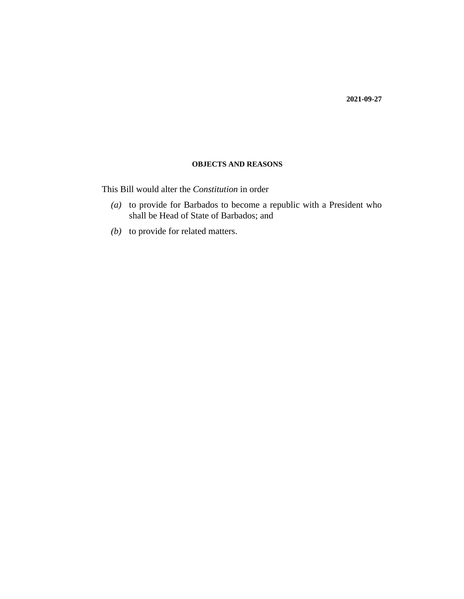### **OBJECTS AND REASONS**

This Bill would alter the *Constitution* in order

- (a) to provide for Barbados to become a republic with a President who shall be Head of State of Barbados; and
- (b) to provide for related matters.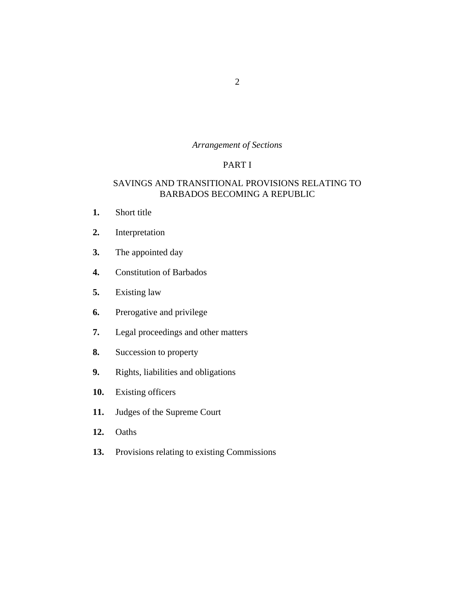## *Arrangement of Sections*

## PART I

## [SAVINGS AND TRANSITIONAL PROVISIONS RELATING TO](#page-5-0) BARBADOS BECOMING A REPUBLIC

- [Short title](#page-5-0) **1.**
- [Interpretation](#page-5-0) **2.**
- [The appointed day](#page-6-0) **3.**
- [Constitution of Barbados](#page-6-0) **4.**
- [Existing law](#page-6-0) **5.**
- [Prerogative and privilege](#page-7-0) **6.**
- [Legal proceedings and other matters](#page-8-0) **7.**
- [Succession to property](#page-8-0) **8.**
- [Rights, liabilities and obligations](#page-9-0) **9.**
- [Existing officers](#page-9-0) **10.**
- [Judges of the Supreme Court](#page-9-0) **11.**
- [Oaths](#page-9-0) **12.**
- [Provisions relating to existing Commissions](#page-10-0) **13.**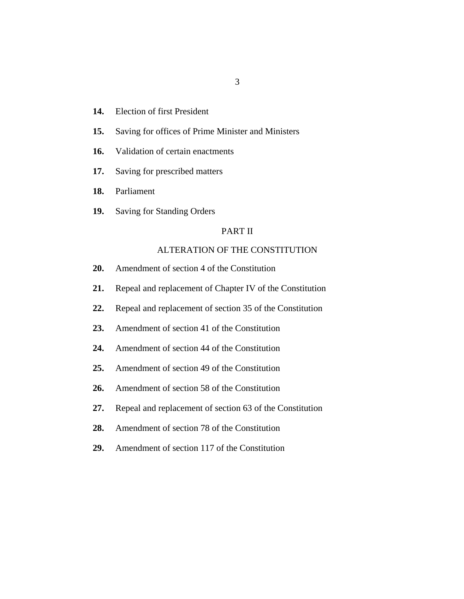- [Election of first President](#page-11-0) **14.**
- [Saving for offices of Prime Minister and Ministers](#page-13-0) **15.**
- [Validation of certain enactments](#page-14-0) **16.**
- [Saving for prescribed matters](#page-15-0) **17.**
- [Parliament](#page-15-0) **18.**
- [Saving for Standing Orders](#page-15-0) **19.**

## PART II

## [ALTERATION OF THE CONSTITUTION](#page-16-0)

- [Amendment of section 4 of the Constitution](#page-16-0) **20.**
- [Repeal and replacement of Chapter IV of the Constitution](#page-16-0) **21.**
- [Repeal and replacement of section 35 of the Constitution](#page-28-0) **22.**
- [Amendment of section 41 of the Constitution](#page-28-0) **23.**
- [Amendment of section 44 of the Constitution](#page-29-0) **24.**
- [Amendment of section 49 of the Constitution](#page-29-0) **25.**
- [Amendment of section 58 of the Constitution](#page-29-0) **26.**
- [Repeal and replacement of section 63 of the Constitution](#page-29-0) **27.**
- [Amendment of section 78 of the Constitution](#page-30-0) **28.**
- [Amendment of section 117 of the Constitution](#page-30-0) **29.**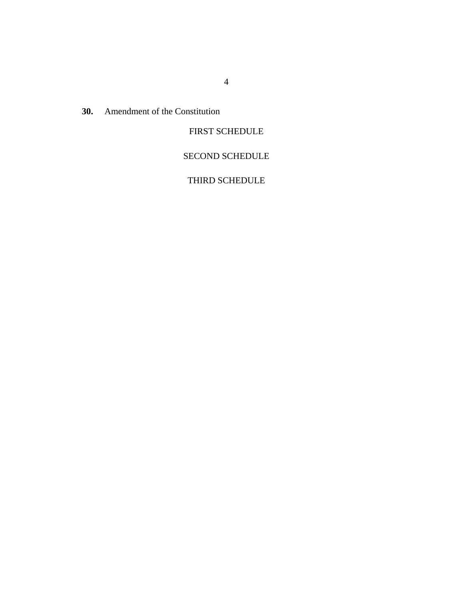[Amendment of the Constitution](#page-31-0) **30.**

# FIRST SCHEDULE

# [SECOND SCHEDULE](#page-34-0)

[THIRD SCHEDULE](#page-38-0)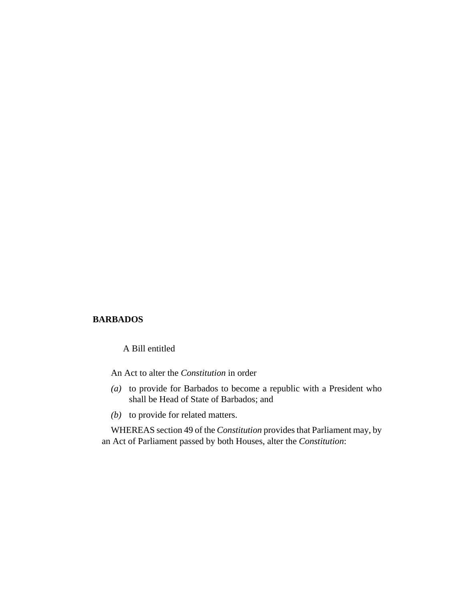## **BARBADOS**

A Bill entitled

An Act to alter the *[Constitution](http://barbadosparliament-laws.com/en/showdoc/cr/[1966/1455])* in order

- (a) to provide for Barbados to become a republic with a President who shall be Head of State of Barbados; and
- (b) to provide for related matters.

WHEREAS section 49 of the *Constitution* provides that Parliament may, by an Act of Parliament passed by both Houses, alter the *Constitution*: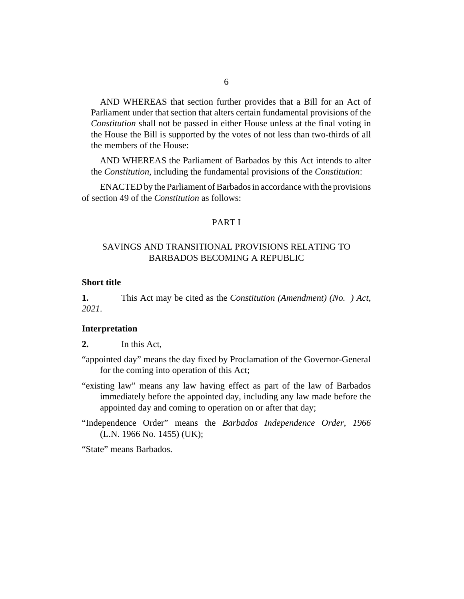<span id="page-5-0"></span>AND WHEREAS that section further provides that a Bill for an Act of Parliament under that section that alters certain fundamental provisions of the *Constitution* shall not be passed in either House unless at the final voting in the House the Bill is supported by the votes of not less than two-thirds of all the members of the House:

AND WHEREAS the Parliament of Barbados by this Act intends to alter the *Constitution*, including the fundamental provisions of the *Constitution*:

ENACTED by the Parliament of Barbados in accordance with the provisions of section 49 of the *[Constitution](http://barbadosparliament-laws.com/en/showdoc/cr/[1966/1455])* as follows:

#### PART I

## SAVINGS AND TRANSITIONAL PROVISIONS RELATING TO BARBADOS BECOMING A REPUBLIC

#### **Short title**

This Act may be cited as the *Constitution (Amendment) (No. ) Act, 2021*. **1.**

#### **Interpretation**

In this Act, **2.**

- "appointed day" means the day fixed by Proclamation of the Governor-General for the coming into operation of this Act;
- "existing law" means any law having effect as part of the law of Barbados immediately before the appointed day, including any law made before the appointed day and coming to operation on or after that day;
- "Independence Order" means the *[Barbados Independence Order, 1966](http://barbadosparliament-laws.com/en/showdoc/cr/1966/1455)* [\(L.N. 1966 No. 1455\)](http://barbadosparliament-laws.com/en/showdoc/cr/1966/1455) (UK);

"State" means Barbados.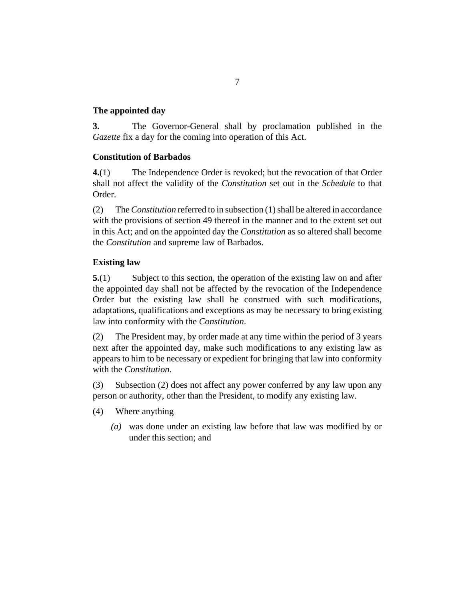## <span id="page-6-0"></span>**The appointed day**

The Governor-General shall by proclamation published in the *Gazette* fix a day for the coming into operation of this Act. **3.**

## **Constitution of Barbados**

The Independence Order is revoked; but the revocation of that Order shall not affect the validity of the *Constitution* set out in the *Schedule* to that Order. **4.**(1)

The *Constitution* referred to in subsection (1) shall be altered in accordance with the provisions of section 49 thereof in the manner and to the extent set out in this Act; and on the appointed day the *Constitution* as so altered shall become the *Constitution* and supreme law of Barbados. (2)

## **Existing law**

Subject to this section, the operation of the existing law on and after the appointed day shall not be affected by the revocation of the Independence Order but the existing law shall be construed with such modifications, adaptations, qualifications and exceptions as may be necessary to bring existing law into conformity with the *Constitution*. **5.**(1)

The President may, by order made at any time within the period of 3 years next after the appointed day, make such modifications to any existing law as appears to him to be necessary or expedient for bringing that law into conformity with the *Constitution*. (2)

Subsection (2) does not affect any power conferred by any law upon any person or authority, other than the President, to modify any existing law. (3)

- Where anything (4)
	- was done under an existing law before that law was modified by or *(a)* under this section; and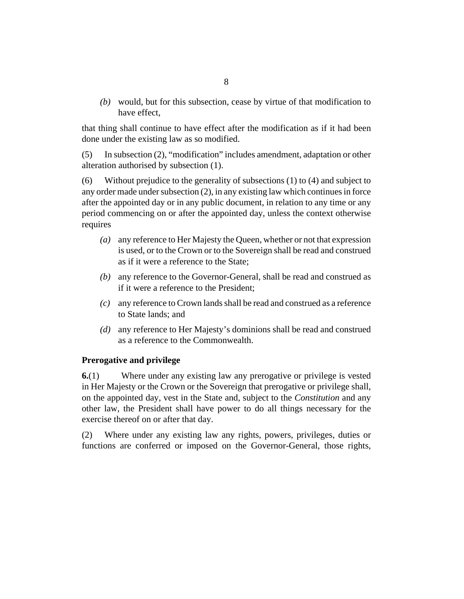<span id="page-7-0"></span>would, but for this subsection, cease by virtue of that modification to *(b)* have effect,

that thing shall continue to have effect after the modification as if it had been done under the existing law as so modified.

In subsection (2), "modification" includes amendment, adaptation or other alteration authorised by subsection (1). (5)

Without prejudice to the generality of subsections (1) to (4) and subject to any order made under subsection (2), in any existing law which continues in force after the appointed day or in any public document, in relation to any time or any period commencing on or after the appointed day, unless the context otherwise requires (6)

- any reference to Her Majesty the Queen, whether or not that expression *(a)* is used, or to the Crown or to the Sovereign shall be read and construed as if it were a reference to the State;
- any reference to the Governor-General, shall be read and construed as *(b)* if it were a reference to the President;
- any reference to Crown lands shall be read and construed as a reference *(c)* to State lands; and
- any reference to Her Majesty's dominions shall be read and construed *(d)* as a reference to the Commonwealth.

## **Prerogative and privilege**

Where under any existing law any prerogative or privilege is vested in Her Majesty or the Crown or the Sovereign that prerogative or privilege shall, on the appointed day, vest in the State and, subject to the *Constitution* and any other law, the President shall have power to do all things necessary for the exercise thereof on or after that day. **6.**(1)

Where under any existing law any rights, powers, privileges, duties or functions are conferred or imposed on the Governor-General, those rights, (2)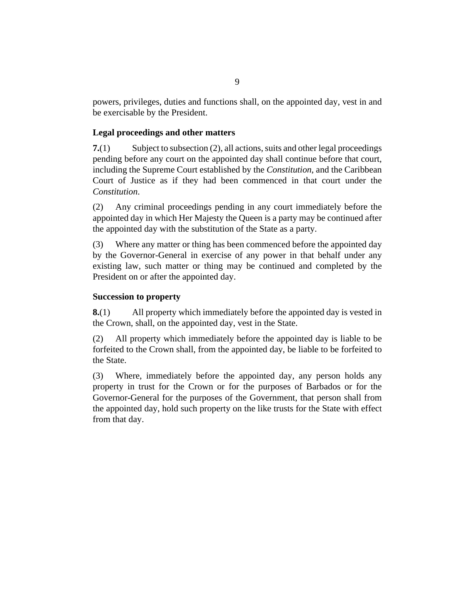<span id="page-8-0"></span>powers, privileges, duties and functions shall, on the appointed day, vest in and be exercisable by the President.

## **Legal proceedings and other matters**

Subject to subsection (2), all actions, suits and other legal proceedings pending before any court on the appointed day shall continue before that court, including the Supreme Court established by the *Constitution*, and the Caribbean Court of Justice as if they had been commenced in that court under the *Constitution*. **7.**(1)

Any criminal proceedings pending in any court immediately before the appointed day in which Her Majesty the Queen is a party may be continued after the appointed day with the substitution of the State as a party. (2)

Where any matter or thing has been commenced before the appointed day by the Governor-General in exercise of any power in that behalf under any existing law, such matter or thing may be continued and completed by the President on or after the appointed day. (3)

## **Succession to property**

All property which immediately before the appointed day is vested in the Crown, shall, on the appointed day, vest in the State. **8.**(1)

All property which immediately before the appointed day is liable to be forfeited to the Crown shall, from the appointed day, be liable to be forfeited to the State. (2)

Where, immediately before the appointed day, any person holds any property in trust for the Crown or for the purposes of Barbados or for the Governor-General for the purposes of the Government, that person shall from the appointed day, hold such property on the like trusts for the State with effect from that day. (3)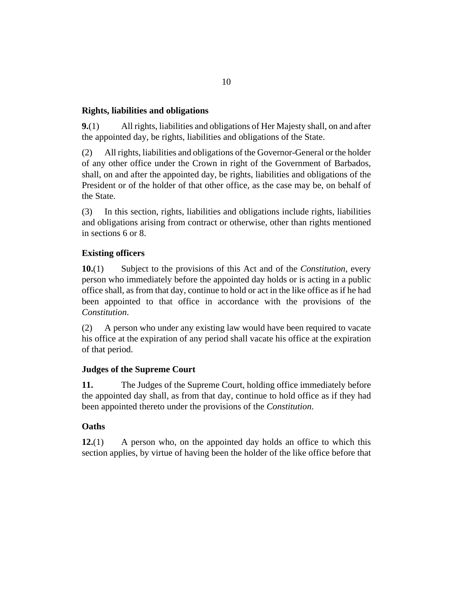## <span id="page-9-0"></span>**Rights, liabilities and obligations**

All rights, liabilities and obligations of Her Majesty shall, on and after the appointed day, be rights, liabilities and obligations of the State. **9.**(1)

All rights, liabilities and obligations of the Governor-General or the holder of any other office under the Crown in right of the Government of Barbados, shall, on and after the appointed day, be rights, liabilities and obligations of the President or of the holder of that other office, as the case may be, on behalf of the State. (2)

In this section, rights, liabilities and obligations include rights, liabilities and obligations arising from contract or otherwise, other than rights mentioned in sections 6 or 8. (3)

## **Existing officers**

Subject to the provisions of this Act and of the *Constitution*, every person who immediately before the appointed day holds or is acting in a public office shall, as from that day, continue to hold or act in the like office as if he had been appointed to that office in accordance with the provisions of the *Constitution*. **10.**(1)

A person who under any existing law would have been required to vacate his office at the expiration of any period shall vacate his office at the expiration of that period. (2)

### **Judges of the Supreme Court**

The Judges of the Supreme Court, holding office immediately before the appointed day shall, as from that day, continue to hold office as if they had been appointed thereto under the provisions of the *Constitution*. **11.**

### **Oaths**

A person who, on the appointed day holds an office to which this section applies, by virtue of having been the holder of the like office before that **12.**(1)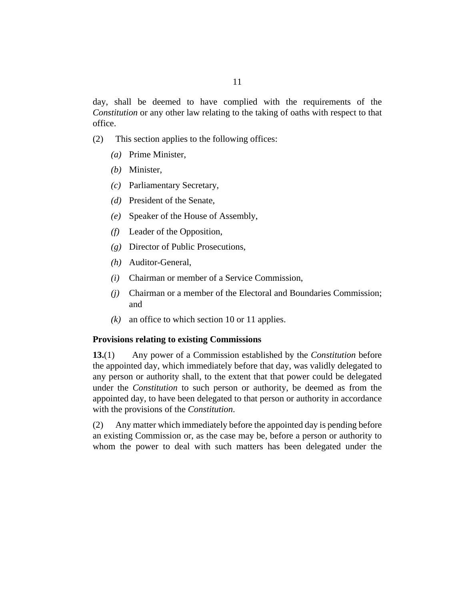<span id="page-10-0"></span>day, shall be deemed to have complied with the requirements of the *Constitution* or any other law relating to the taking of oaths with respect to that office.

- This section applies to the following offices: (2)
	- Prime Minister, *(a)*
	- Minister, *(b)*
	- Parliamentary Secretary, *(c)*
	- (*d*) President of the Senate,
	- Speaker of the House of Assembly, *(e)*
	- Leader of the Opposition, *(f)*
	- Director of Public Prosecutions, *(g)*
	- Auditor-General, *(h)*
	- Chairman or member of a Service Commission, *(i)*
	- Chairman or a member of the Electoral and Boundaries Commission; and *(j)*
	- an office to which section 10 or 11 applies. *(k)*

### **Provisions relating to existing Commissions**

Any power of a Commission established by the *Constitution* before the appointed day, which immediately before that day, was validly delegated to any person or authority shall, to the extent that that power could be delegated under the *Constitution* to such person or authority, be deemed as from the appointed day, to have been delegated to that person or authority in accordance with the provisions of the *Constitution*. **13.**(1)

Any matter which immediately before the appointed day is pending before an existing Commission or, as the case may be, before a person or authority to whom the power to deal with such matters has been delegated under the (2)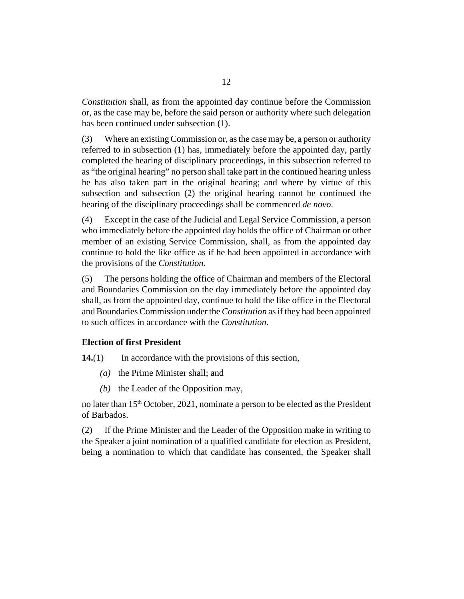<span id="page-11-0"></span>*Constitution* shall, as from the appointed day continue before the Commission or, as the case may be, before the said person or authority where such delegation has been continued under subsection (1).

Where an existing Commission or, as the case may be, a person or authority referred to in subsection (1) has, immediately before the appointed day, partly completed the hearing of disciplinary proceedings, in this subsection referred to as "the original hearing" no person shall take part in the continued hearing unless he has also taken part in the original hearing; and where by virtue of this subsection and subsection (2) the original hearing cannot be continued the hearing of the disciplinary proceedings shall be commenced *de novo*. (3)

Except in the case of the Judicial and Legal Service Commission, a person who immediately before the appointed day holds the office of Chairman or other member of an existing Service Commission, shall, as from the appointed day continue to hold the like office as if he had been appointed in accordance with the provisions of the *Constitution*. (4)

The persons holding the office of Chairman and members of the Electoral and Boundaries Commission on the day immediately before the appointed day shall, as from the appointed day, continue to hold the like office in the Electoral and Boundaries Commission under the *Constitution* as if they had been appointed to such offices in accordance with the *Constitution*. (5)

## **Election of first President**

In accordance with the provisions of this section, **14.**(1)

- (a) the Prime Minister shall; and
- $(b)$  the Leader of the Opposition may,

no later than  $15<sup>th</sup>$  October, 2021, nominate a person to be elected as the President of Barbados.

If the Prime Minister and the Leader of the Opposition make in writing to the Speaker a joint nomination of a qualified candidate for election as President, being a nomination to which that candidate has consented, the Speaker shall (2)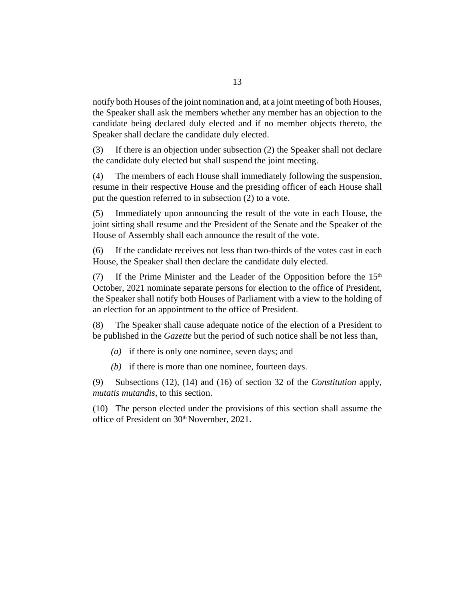notify both Houses of the joint nomination and, at a joint meeting of both Houses, the Speaker shall ask the members whether any member has an objection to the candidate being declared duly elected and if no member objects thereto, the Speaker shall declare the candidate duly elected.

If there is an objection under subsection (2) the Speaker shall not declare the candidate duly elected but shall suspend the joint meeting. (3)

The members of each House shall immediately following the suspension, resume in their respective House and the presiding officer of each House shall put the question referred to in subsection (2) to a vote. (4)

Immediately upon announcing the result of the vote in each House, the joint sitting shall resume and the President of the Senate and the Speaker of the House of Assembly shall each announce the result of the vote. (5)

If the candidate receives not less than two-thirds of the votes cast in each House, the Speaker shall then declare the candidate duly elected. (6)

If the Prime Minister and the Leader of the Opposition before the  $15<sup>th</sup>$ October, 2021 nominate separate persons for election to the office of President, the Speaker shall notify both Houses of Parliament with a view to the holding of an election for an appointment to the office of President. (7)

The Speaker shall cause adequate notice of the election of a President to be published in the *Gazette* but the period of such notice shall be not less than, (8)

- (a) if there is only one nominee, seven days; and
- $(b)$  if there is more than one nominee, fourteen days.

Subsections (12), (14) and (16) of section 32 of the *Constitution* apply, *mutatis mutandis*, to this section. (9)

(10) The person elected under the provisions of this section shall assume the office of President on  $30<sup>th</sup>$  November, 2021.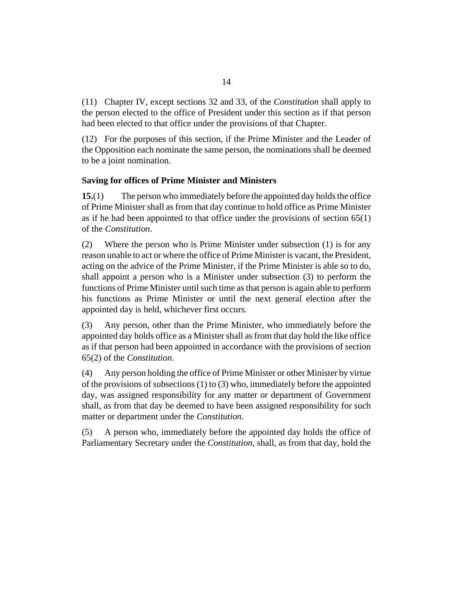<span id="page-13-0"></span>Chapter IV, except sections 32 and 33, of the *Constitution* shall apply to (11) the person elected to the office of President under this section as if that person had been elected to that office under the provisions of that Chapter.

(12) For the purposes of this section, if the Prime Minister and the Leader of the Opposition each nominate the same person, the nominations shall be deemed to be a joint nomination.

## **Saving for offices of Prime Minister and Ministers**

The person who immediately before the appointed day holds the office of Prime Minister shall as from that day continue to hold office as Prime Minister as if he had been appointed to that office under the provisions of section  $65(1)$ of the *Constitution*. **15.**(1)

Where the person who is Prime Minister under subsection (1) is for any reason unable to act or where the office of Prime Minister is vacant, the President, acting on the advice of the Prime Minister, if the Prime Minister is able so to do, shall appoint a person who is a Minister under subsection (3) to perform the functions of Prime Minister until such time as that person is again able to perform his functions as Prime Minister or until the next general election after the appointed day is held, whichever first occurs. (2)

Any person, other than the Prime Minister, who immediately before the appointed day holds office as a Minister shall as from that day hold the like office as if that person had been appointed in accordance with the provisions of section 65(2) of the *Constitution*. (3)

Any person holding the office of Prime Minister or other Minister by virtue of the provisions of subsections (1) to (3) who, immediately before the appointed day, was assigned responsibility for any matter or department of Government shall, as from that day be deemed to have been assigned responsibility for such matter or department under the *Constitution*. (4)

A person who, immediately before the appointed day holds the office of Parliamentary Secretary under the *Constitution*, shall, as from that day, hold the (5)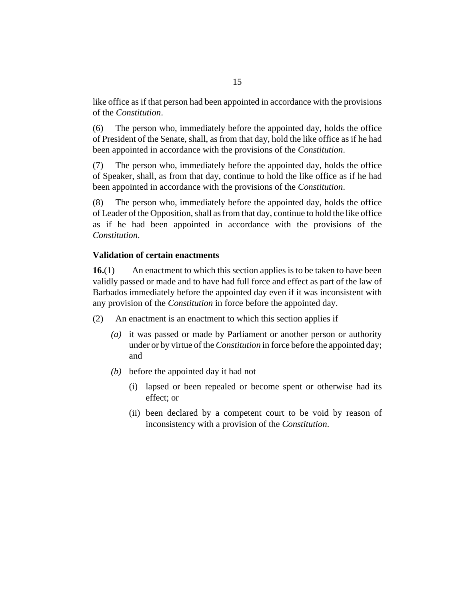<span id="page-14-0"></span>like office as if that person had been appointed in accordance with the provisions of the *Constitution*.

The person who, immediately before the appointed day, holds the office of President of the Senate, shall, as from that day, hold the like office as if he had been appointed in accordance with the provisions of the *Constitution*. (6)

The person who, immediately before the appointed day, holds the office of Speaker, shall, as from that day, continue to hold the like office as if he had been appointed in accordance with the provisions of the *Constitution*. (7)

The person who, immediately before the appointed day, holds the office of Leader of the Opposition, shall as from that day, continue to hold the like office as if he had been appointed in accordance with the provisions of the *Constitution*. (8)

### **Validation of certain enactments**

An enactment to which this section applies is to be taken to have been validly passed or made and to have had full force and effect as part of the law of Barbados immediately before the appointed day even if it was inconsistent with any provision of the *Constitution* in force before the appointed day. **16.**(1)

- An enactment is an enactment to which this section applies if (2)
	- it was passed or made by Parliament or another person or authority *(a)* under or by virtue of the *Constitution* in force before the appointed day; and
	- before the appointed day it had not *(b)*
		- (i) lapsed or been repealed or become spent or otherwise had its effect; or
		- (ii) been declared by a competent court to be void by reason of inconsistency with a provision of the *Constitution*.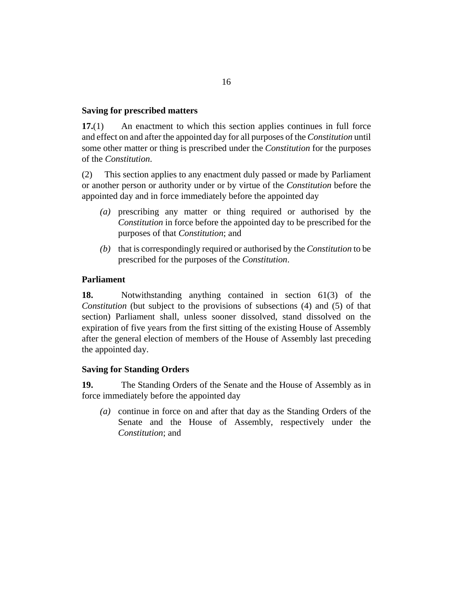## <span id="page-15-0"></span>**Saving for prescribed matters**

An enactment to which this section applies continues in full force and effect on and after the appointed day for all purposes of the *Constitution* until some other matter or thing is prescribed under the *Constitution* for the purposes of the *Constitution*. **17.**(1)

This section applies to any enactment duly passed or made by Parliament or another person or authority under or by virtue of the *Constitution* before the appointed day and in force immediately before the appointed day (2)

- prescribing any matter or thing required or authorised by the *(a) Constitution* in force before the appointed day to be prescribed for the purposes of that *Constitution*; and
- (b) that is correspondingly required or authorised by the *Constitution* to be prescribed for the purposes of the *Constitution*.

## **Parliament**

Notwithstanding anything contained in section 61(3) of the *Constitution* (but subject to the provisions of subsections (4) and (5) of that section) Parliament shall, unless sooner dissolved, stand dissolved on the expiration of five years from the first sitting of the existing House of Assembly after the general election of members of the House of Assembly last preceding the appointed day. **18.**

### **Saving for Standing Orders**

The Standing Orders of the Senate and the House of Assembly as in force immediately before the appointed day **19.**

(a) continue in force on and after that day as the Standing Orders of the Senate and the House of Assembly, respectively under the *Constitution*; and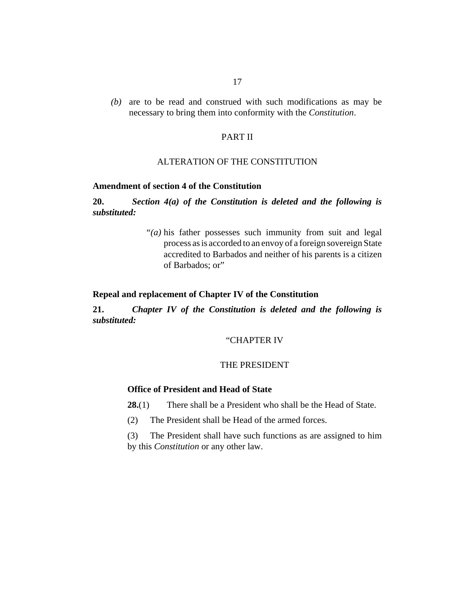<span id="page-16-0"></span> $(b)$  are to be read and construed with such modifications as may be necessary to bring them into conformity with the *Constitution*.

## PART II

#### ALTERATION OF THE CONSTITUTION

#### **Amendment of section 4 of the Constitution**

#### *Section 4(a) of the Constitution is deleted and the following is substituted:* **20.**

"(a) his father possesses such immunity from suit and legal process as is accorded to an envoy of a foreign sovereign State accredited to Barbados and neither of his parents is a citizen of Barbados; or"

#### **Repeal and replacement of Chapter IV of the Constitution**

*Chapter IV of the Constitution is deleted and the following is substituted:* **21.**

#### "CHAPTER IV

#### THE PRESIDENT

#### **Office of President and Head of State**

There shall be a President who shall be the Head of State. **28.**(1)

- The President shall be Head of the armed forces. (2)
- The President shall have such functions as are assigned to him by this *Constitution* or any other law. (3)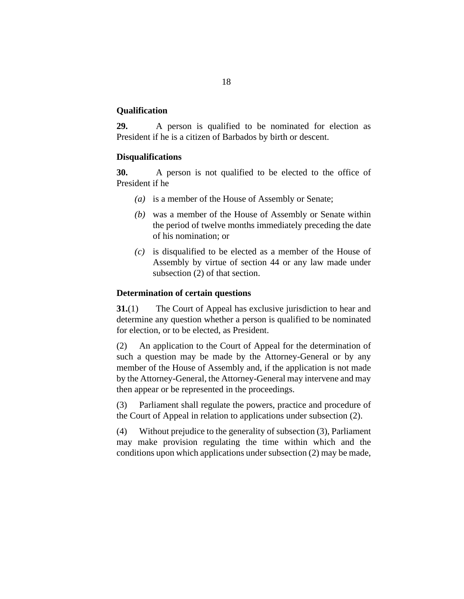#### **Qualification**

A person is qualified to be nominated for election as President if he is a citizen of Barbados by birth or descent. **29.**

#### **Disqualifications**

A person is not qualified to be elected to the office of President if he **30.**

- (a) is a member of the House of Assembly or Senate;
- was a member of the House of Assembly or Senate within *(b)* the period of twelve months immediately preceding the date of his nomination; or
- is disqualified to be elected as a member of the House of *(c)* Assembly by virtue of section 44 or any law made under subsection (2) of that section.

### **Determination of certain questions**

The Court of Appeal has exclusive jurisdiction to hear and determine any question whether a person is qualified to be nominated for election, or to be elected, as President. **31.**(1)

An application to the Court of Appeal for the determination of such a question may be made by the Attorney-General or by any member of the House of Assembly and, if the application is not made by the Attorney-General, the Attorney-General may intervene and may then appear or be represented in the proceedings. (2)

Parliament shall regulate the powers, practice and procedure of the Court of Appeal in relation to applications under subsection (2). (3)

Without prejudice to the generality of subsection (3), Parliament may make provision regulating the time within which and the conditions upon which applications under subsection (2) may be made, (4)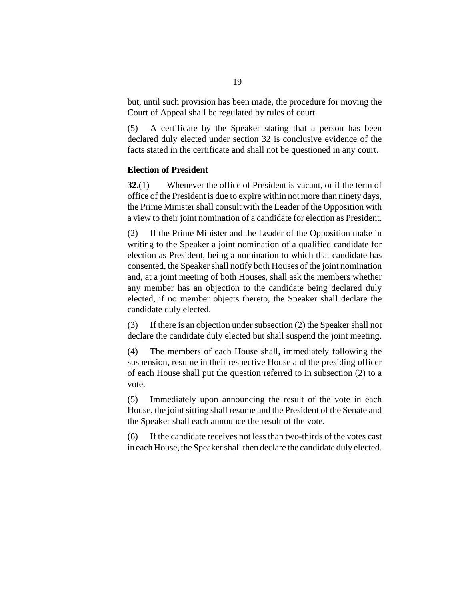but, until such provision has been made, the procedure for moving the Court of Appeal shall be regulated by rules of court.

A certificate by the Speaker stating that a person has been declared duly elected under section 32 is conclusive evidence of the facts stated in the certificate and shall not be questioned in any court. (5)

#### **Election of President**

Whenever the office of President is vacant, or if the term of office of the President is due to expire within not more than ninety days, the Prime Minister shall consult with the Leader of the Opposition with a view to their joint nomination of a candidate for election as President. **32.**(1)

If the Prime Minister and the Leader of the Opposition make in writing to the Speaker a joint nomination of a qualified candidate for election as President, being a nomination to which that candidate has consented, the Speaker shall notify both Houses of the joint nomination and, at a joint meeting of both Houses, shall ask the members whether any member has an objection to the candidate being declared duly elected, if no member objects thereto, the Speaker shall declare the candidate duly elected. (2)

If there is an objection under subsection (2) the Speaker shall not declare the candidate duly elected but shall suspend the joint meeting. (3)

The members of each House shall, immediately following the suspension, resume in their respective House and the presiding officer of each House shall put the question referred to in subsection (2) to a vote. (4)

Immediately upon announcing the result of the vote in each House, the joint sitting shall resume and the President of the Senate and the Speaker shall each announce the result of the vote. (5)

If the candidate receives not less than two-thirds of the votes cast in each House, the Speaker shall then declare the candidate duly elected. (6)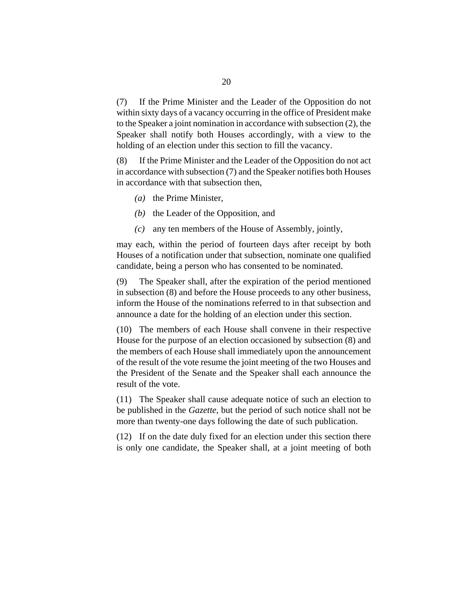If the Prime Minister and the Leader of the Opposition do not within sixty days of a vacancy occurring in the office of President make to the Speaker a joint nomination in accordance with subsection (2), the Speaker shall notify both Houses accordingly, with a view to the holding of an election under this section to fill the vacancy. (7)

If the Prime Minister and the Leader of the Opposition do not act in accordance with subsection (7) and the Speaker notifies both Houses in accordance with that subsection then, (8)

- (a) the Prime Minister,
- (b) the Leader of the Opposition, and
- any ten members of the House of Assembly, jointly, *(c)*

may each, within the period of fourteen days after receipt by both Houses of a notification under that subsection, nominate one qualified candidate, being a person who has consented to be nominated.

The Speaker shall, after the expiration of the period mentioned in subsection (8) and before the House proceeds to any other business, inform the House of the nominations referred to in that subsection and announce a date for the holding of an election under this section. (9)

(10) The members of each House shall convene in their respective House for the purpose of an election occasioned by subsection (8) and the members of each House shall immediately upon the announcement of the result of the vote resume the joint meeting of the two Houses and the President of the Senate and the Speaker shall each announce the result of the vote.

(11) The Speaker shall cause adequate notice of such an election to be published in the *Gazette*, but the period of such notice shall not be more than twenty-one days following the date of such publication.

(12) If on the date duly fixed for an election under this section there is only one candidate, the Speaker shall, at a joint meeting of both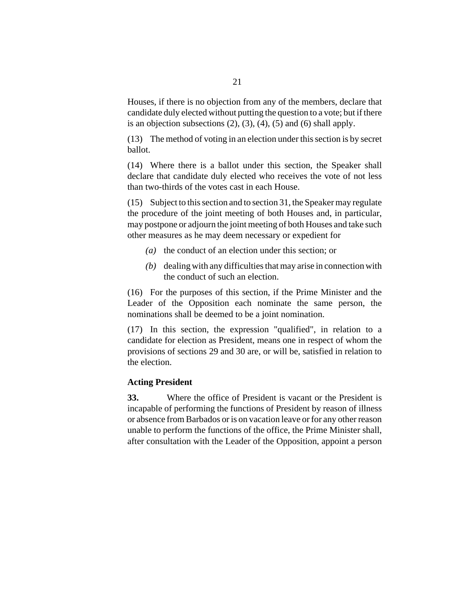Houses, if there is no objection from any of the members, declare that candidate duly elected without putting the question to a vote; but if there is an objection subsections  $(2)$ ,  $(3)$ ,  $(4)$ ,  $(5)$  and  $(6)$  shall apply.

The method of voting in an election under this section is by secret (13) ballot.

Where there is a ballot under this section, the Speaker shall (14) declare that candidate duly elected who receives the vote of not less than two-thirds of the votes cast in each House.

(15) Subject to this section and to section 31, the Speaker may regulate the procedure of the joint meeting of both Houses and, in particular, may postpone or adjourn the joint meeting of both Houses and take such other measures as he may deem necessary or expedient for

- (a) the conduct of an election under this section; or
- (b) dealing with any difficulties that may arise in connection with the conduct of such an election.

(16) For the purposes of this section, if the Prime Minister and the Leader of the Opposition each nominate the same person, the nominations shall be deemed to be a joint nomination.

In this section, the expression "qualified", in relation to a (17) candidate for election as President, means one in respect of whom the provisions of sections 29 and 30 are, or will be, satisfied in relation to the election.

### **Acting President**

Where the office of President is vacant or the President is incapable of performing the functions of President by reason of illness or absence from Barbados or is on vacation leave or for any other reason unable to perform the functions of the office, the Prime Minister shall, after consultation with the Leader of the Opposition, appoint a person **33.**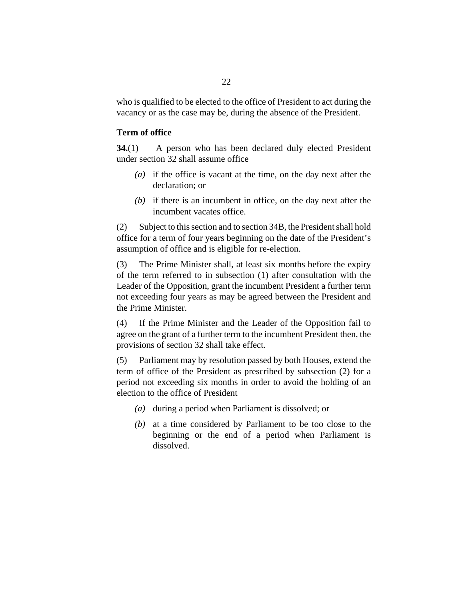who is qualified to be elected to the office of President to act during the vacancy or as the case may be, during the absence of the President.

#### **Term of office**

A person who has been declared duly elected President under section 32 shall assume office **34.**(1)

- $(a)$  if the office is vacant at the time, on the day next after the declaration; or
- $(b)$  if there is an incumbent in office, on the day next after the incumbent vacates office.

Subject to this section and to section 34B, the President shall hold office for a term of four years beginning on the date of the President's assumption of office and is eligible for re-election. (2)

The Prime Minister shall, at least six months before the expiry of the term referred to in subsection (1) after consultation with the Leader of the Opposition, grant the incumbent President a further term not exceeding four years as may be agreed between the President and the Prime Minister. (3)

If the Prime Minister and the Leader of the Opposition fail to agree on the grant of a further term to the incumbent President then, the provisions of section 32 shall take effect. (4)

Parliament may by resolution passed by both Houses, extend the term of office of the President as prescribed by subsection (2) for a period not exceeding six months in order to avoid the holding of an election to the office of President (5)

- (a) during a period when Parliament is dissolved; or
- at a time considered by Parliament to be too close to the *(b)* beginning or the end of a period when Parliament is dissolved.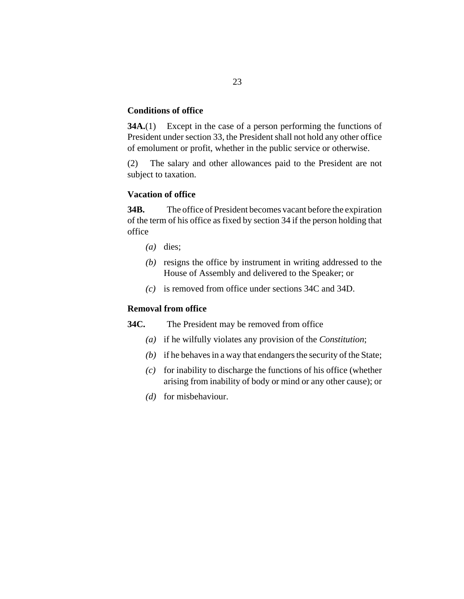#### **Conditions of office**

**34A.**(1) Except in the case of a person performing the functions of President under section 33, the President shall not hold any other office of emolument or profit, whether in the public service or otherwise.

The salary and other allowances paid to the President are not subject to taxation. (2)

#### **Vacation of office**

The office of President becomes vacant before the expiration of the term of his office as fixed by section 34 if the person holding that office **34B.**

- (*a*) dies;
- (b) resigns the office by instrument in writing addressed to the House of Assembly and delivered to the Speaker; or
- is removed from office under sections 34C and 34D. *(c)*

## **Removal from office**

The President may be removed from office **34C.**

- if he wilfully violates any provision of the *Constitution*; *(a)*
- $(b)$  if he behaves in a way that endangers the security of the State;
- $\alpha$  for inability to discharge the functions of his office (whether arising from inability of body or mind or any other cause); or
- (*d*) for misbehaviour.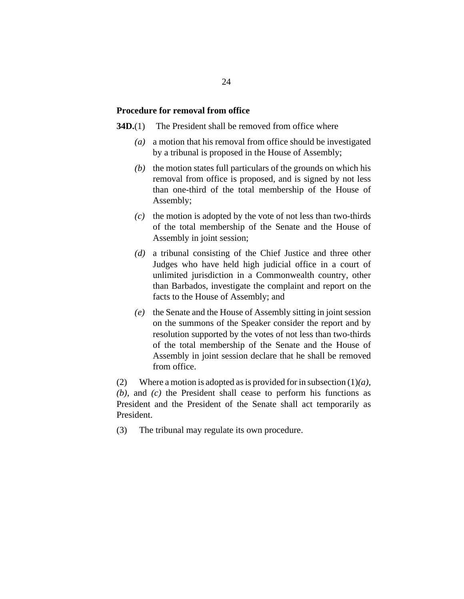#### **Procedure for removal from office**

The President shall be removed from office where **34D.**(1)

- a motion that his removal from office should be investigated by a tribunal is proposed in the House of Assembly; *(a)*
- $(b)$  the motion states full particulars of the grounds on which his removal from office is proposed, and is signed by not less than one-third of the total membership of the House of Assembly;
- $\alpha$  the motion is adopted by the vote of not less than two-thirds of the total membership of the Senate and the House of Assembly in joint session;
- a tribunal consisting of the Chief Justice and three other *(d)* Judges who have held high judicial office in a court of unlimited jurisdiction in a Commonwealth country, other than Barbados, investigate the complaint and report on the facts to the House of Assembly; and
- (e) the Senate and the House of Assembly sitting in joint session on the summons of the Speaker consider the report and by resolution supported by the votes of not less than two-thirds of the total membership of the Senate and the House of Assembly in joint session declare that he shall be removed from office.

Where a motion is adopted as is provided for in subsection (1)*(a), (b)*, and *(c)* the President shall cease to perform his functions as President and the President of the Senate shall act temporarily as President. (2)

The tribunal may regulate its own procedure. (3)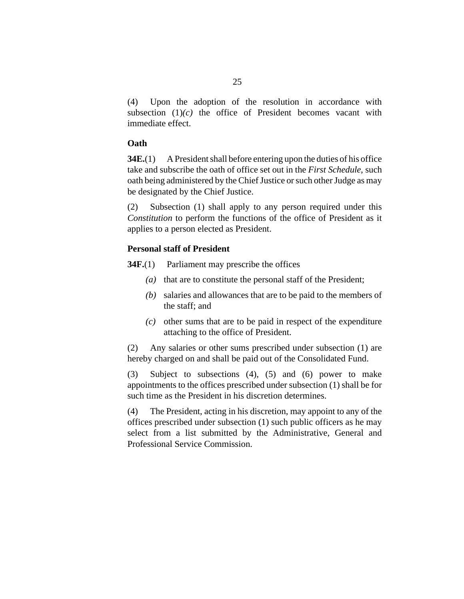Upon the adoption of the resolution in accordance with subsection  $(1)(c)$  the office of President becomes vacant with immediate effect. (4)

### **Oath**

A President shall before entering upon the duties of his office take and subscribe the oath of office set out in the *First Schedule*, such oath being administered by the Chief Justice or such other Judge as may be designated by the Chief Justice. **34E.**(1)

Subsection (1) shall apply to any person required under this *Constitution* to perform the functions of the office of President as it applies to a person elected as President. (2)

#### **Personal staff of President**

Parliament may prescribe the offices **34F.**(1)

- (a) that are to constitute the personal staff of the President;
- salaries and allowances that are to be paid to the members of *(b)* the staff; and
- other sums that are to be paid in respect of the expenditure *(c)* attaching to the office of President.

Any salaries or other sums prescribed under subsection (1) are hereby charged on and shall be paid out of the Consolidated Fund. (2)

Subject to subsections (4), (5) and (6) power to make appointments to the offices prescribed under subsection (1) shall be for such time as the President in his discretion determines. (3)

The President, acting in his discretion, may appoint to any of the offices prescribed under subsection (1) such public officers as he may select from a list submitted by the Administrative, General and Professional Service Commission. (4)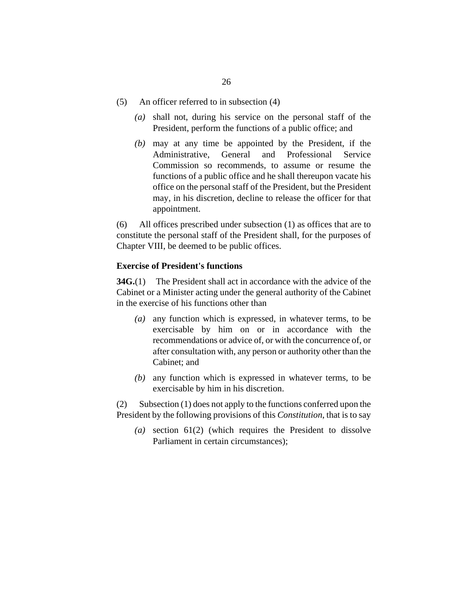- An officer referred to in subsection (4) (5)
	- shall not, during his service on the personal staff of the *(a)* President, perform the functions of a public office; and
	- may at any time be appointed by the President, if the *(b)* Administrative, General and Professional Service Commission so recommends, to assume or resume the functions of a public office and he shall thereupon vacate his office on the personal staff of the President, but the President may, in his discretion, decline to release the officer for that appointment.

All offices prescribed under subsection (1) as offices that are to constitute the personal staff of the President shall, for the purposes of Chapter VIII, be deemed to be public offices. (6)

### **Exercise of President's functions**

**34G.**(1) The President shall act in accordance with the advice of the Cabinet or a Minister acting under the general authority of the Cabinet in the exercise of his functions other than

- (a) any function which is expressed, in whatever terms, to be exercisable by him on or in accordance with the recommendations or advice of, or with the concurrence of, or after consultation with, any person or authority other than the Cabinet; and
- (b) any function which is expressed in whatever terms, to be exercisable by him in his discretion.

Subsection (1) does not apply to the functions conferred upon the President by the following provisions of this *Constitution*, that is to say (2)

section 61(2) (which requires the President to dissolve *(a)* Parliament in certain circumstances);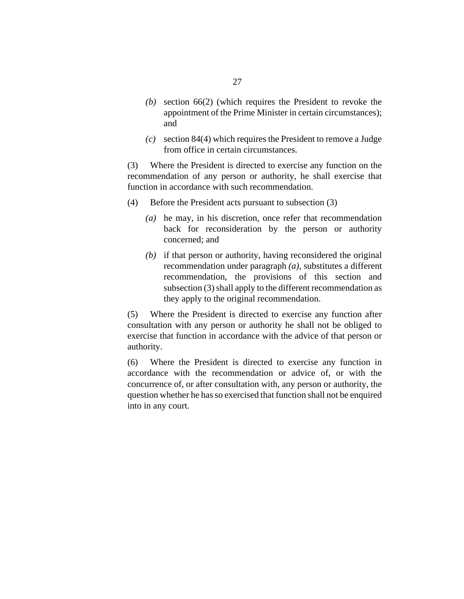- section 66(2) (which requires the President to revoke the *(b)* appointment of the Prime Minister in certain circumstances); and
- section 84(4) which requires the President to remove a Judge *(c)* from office in certain circumstances.

Where the President is directed to exercise any function on the recommendation of any person or authority, he shall exercise that function in accordance with such recommendation. (3)

- Before the President acts pursuant to subsection (3) (4)
	- he may, in his discretion, once refer that recommendation *(a)* back for reconsideration by the person or authority concerned; and
	- (b) if that person or authority, having reconsidered the original recommendation under paragraph *(a)*, substitutes a different recommendation, the provisions of this section and subsection (3) shall apply to the different recommendation as they apply to the original recommendation.

Where the President is directed to exercise any function after consultation with any person or authority he shall not be obliged to exercise that function in accordance with the advice of that person or authority. (5)

Where the President is directed to exercise any function in accordance with the recommendation or advice of, or with the concurrence of, or after consultation with, any person or authority, the question whether he has so exercised that function shall not be enquired into in any court. (6)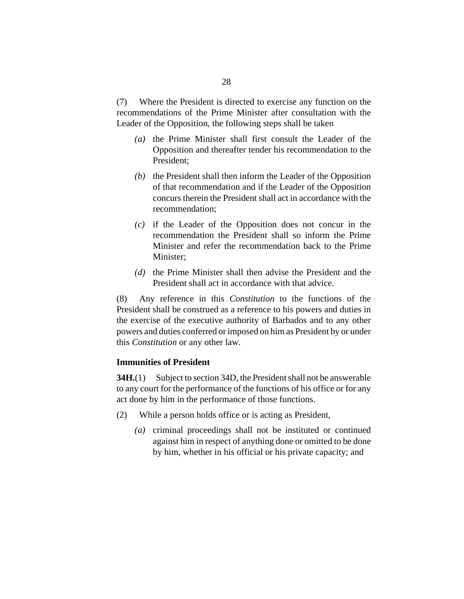Where the President is directed to exercise any function on the recommendations of the Prime Minister after consultation with the Leader of the Opposition, the following steps shall be taken (7)

- $(a)$  the Prime Minister shall first consult the Leader of the Opposition and thereafter tender his recommendation to the President;
- $(b)$  the President shall then inform the Leader of the Opposition of that recommendation and if the Leader of the Opposition concurs therein the President shall act in accordance with the recommendation;
- $(c)$  if the Leader of the Opposition does not concur in the recommendation the President shall so inform the Prime Minister and refer the recommendation back to the Prime Minister;
- (d) the Prime Minister shall then advise the President and the President shall act in accordance with that advice.

Any reference in this *Constitution* to the functions of the President shall be construed as a reference to his powers and duties in the exercise of the executive authority of Barbados and to any other powers and duties conferred or imposed on him as President by or under this *Constitution* or any other law. (8)

## **Immunities of President**

**34H.**(1) Subject to section 34D, the President shall not be answerable to any court for the performance of the functions of his office or for any act done by him in the performance of those functions.

- While a person holds office or is acting as President, (2)
	- (a) criminal proceedings shall not be instituted or continued against him in respect of anything done or omitted to be done by him, whether in his official or his private capacity; and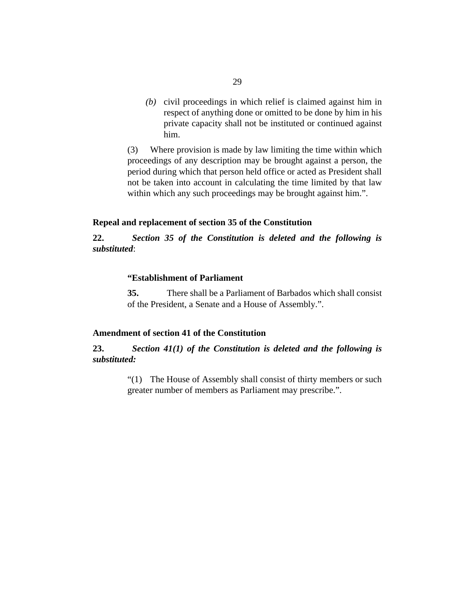<span id="page-28-0"></span>civil proceedings in which relief is claimed against him in *(b)* respect of anything done or omitted to be done by him in his private capacity shall not be instituted or continued against him.

Where provision is made by law limiting the time within which proceedings of any description may be brought against a person, the period during which that person held office or acted as President shall not be taken into account in calculating the time limited by that law within which any such proceedings may be brought against him.". (3)

#### **Repeal and replacement of section 35 of the Constitution**

*Section 35 of the Constitution is deleted and the following is substituted*: **22.**

#### **"Establishment of Parliament**

There shall be a Parliament of Barbados which shall consist of the President, a Senate and a House of Assembly.". **35.**

#### **Amendment of section 41 of the Constitution**

#### *Section 41(1) of the Constitution is deleted and the following is substituted:* **23.**

"(1) The House of Assembly shall consist of thirty members or such greater number of members as Parliament may prescribe.".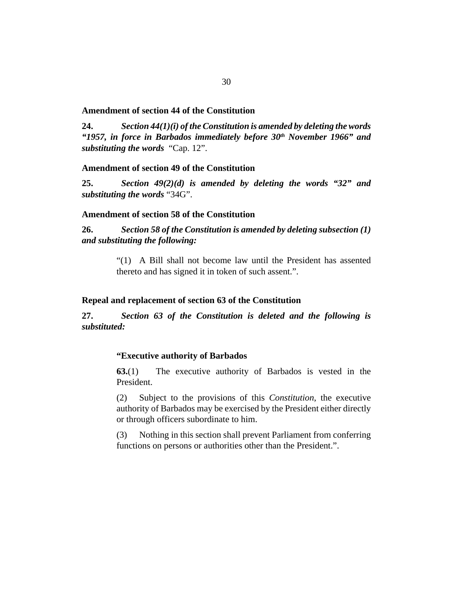#### <span id="page-29-0"></span>**Amendment of section 44 of the Constitution**

*Section 44(1)(i) of the Constitution is amended by deleting the words "1957, in force in Barbados immediately before 30th November 1966" and substituting the words* "Cap. 12". **24.**

#### **Amendment of section 49 of the Constitution**

*Section 49(2)(d) is amended by deleting the words "32" and substituting the words* "34G". **25.**

#### **Amendment of section 58 of the Constitution**

*Section 58 of the Constitution is amended by deleting subsection (1) and substituting the following:* **26.**

> "(1) A Bill shall not become law until the President has assented thereto and has signed it in token of such assent.".

#### **Repeal and replacement of section 63 of the Constitution**

*Section 63 of the Constitution is deleted and the following is substituted:* **27.**

#### **"Executive authority of Barbados**

The executive authority of Barbados is vested in the President. **63.**(1)

Subject to the provisions of this *Constitution*, the executive authority of Barbados may be exercised by the President either directly or through officers subordinate to him. (2)

Nothing in this section shall prevent Parliament from conferring functions on persons or authorities other than the President.". (3)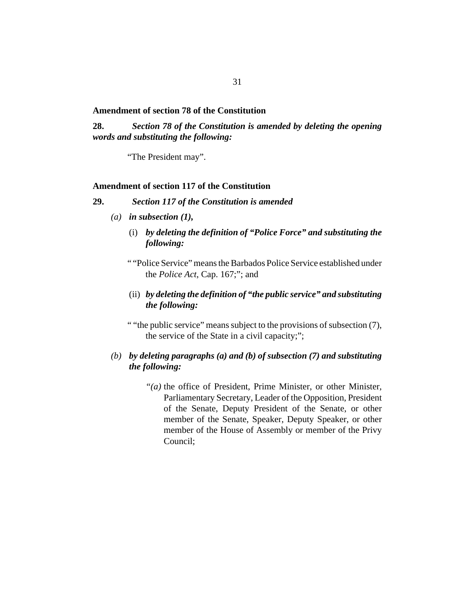#### <span id="page-30-0"></span>**Amendment of section 78 of the Constitution**

*Section 78 of the Constitution is amended by deleting the opening words and substituting the following:* **28.**

"The President may".

#### **Amendment of section 117 of the Constitution**

#### *Section 117 of the Constitution is amended* **29.**

- *in subsection (1), (a)*
	- *by deleting the definition of "Police Force" and substituting the* (i) *following:*
	- " "Police Service" means the Barbados Police Service established under the *[Police Act](http://barbadosparliament-laws.com/en/showdoc/cs/167)*, Cap. 167;"; and
	- *by deleting the definition of "the public service" and substituting* (ii) *the following:*

" "the public service" means subject to the provisions of subsection (7), the service of the State in a civil capacity;";

## *by deleting paragraphs (a) and (b) of subsection (7) and substituting (b) the following:*

"(a) the office of President, Prime Minister, or other Minister, Parliamentary Secretary, Leader of the Opposition, President of the Senate, Deputy President of the Senate, or other member of the Senate, Speaker, Deputy Speaker, or other member of the House of Assembly or member of the Privy Council;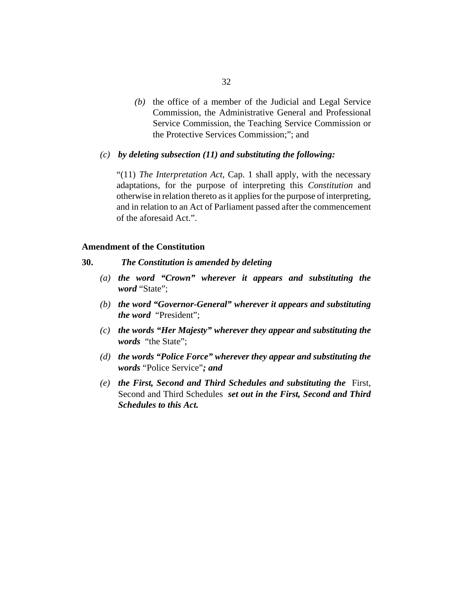<span id="page-31-0"></span> $(t)$  the office of a member of the Judicial and Legal Service Commission, the Administrative General and Professional Service Commission, the Teaching Service Commission or the Protective Services Commission;"; and

#### *by deleting subsection (11) and substituting the following: (c)*

"(11) [The Interpretation Act](http://barbadosparliament-laws.com/en/showdoc/cs/1), Cap. 1 shall apply, with the necessary adaptations, for the purpose of interpreting this *Constitution* and otherwise in relation thereto as it applies for the purpose of interpreting, and in relation to an Act of Parliament passed after the commencement of the aforesaid Act.".

#### **Amendment of the Constitution**

- *The Constitution is amended by deleting* **30.**
	- *the word "Crown" wherever it appears and substituting the (a) word* "State";
	- *the word "Governor-General" wherever it appears and substituting (b) the word* "President";
	- *the words "Her Majesty" wherever they appear and substituting the (c) words* "the State";
	- *the words "Police Force" wherever they appear and substituting the (d) words* "Police Service"*; and*
	- *the First, Second and Third Schedules and substituting the* First, *(e)* Second and Third Schedules *set out in the First, Second and Third Schedules to this Act.*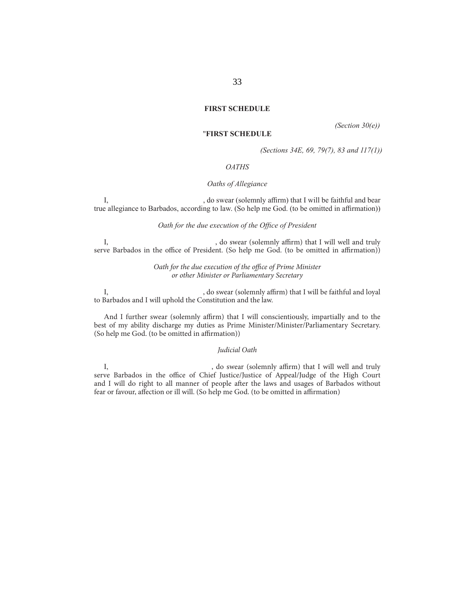#### **FIRST SCHEDULE**

#### "**FIRST SCHEDULE**

*(Section 30(e))*

*(Sections 34E, 69, 79(7), 83 and 117(1))*

#### *OATHS*

#### *Oaths of Allegiance*

I, do swear (solemnly affirm) that I will be faithful and bear true allegiance to Barbados, according to law. (So help me God. (to be omitted in affirmation))

*Oath for the due execution of the Office of President* 

I, do swear (solemnly affirm) that I will well and truly serve Barbados in the office of President. (So help me God. (to be omitted in affirmation))

> *Oath for the due execution of the office of Prime Minister or other Minister or Parliamentary Secretary*

I, shows are (solemnly affirm) that I will be faithful and loyal to Barbados and I will uphold the Constitution and the law.

And I further swear (solemnly affirm) that I will conscientiously, impartially and to the best of my ability discharge my duties as Prime Minister/Minister/Parliamentary Secretary. (So help me God. (to be omitted in affirmation))

#### *Judicial Oath*

I, so swear (solemnly affirm) that I will well and truly serve Barbados in the office of Chief Justice/Justice of Appeal/Judge of the High Court and I will do right to all manner of people after the laws and usages of Barbados without fear or favour, affection or ill will. (So help me God. (to be omitted in affirmation)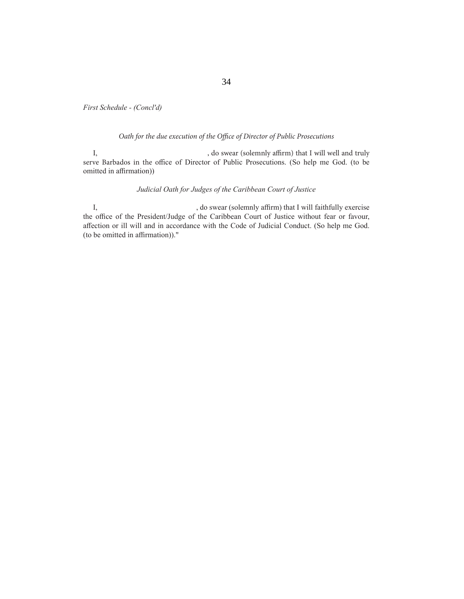*First Schedule - (Concl'd)*

#### Oath for the due execution of the Office of Director of Public Prosecutions

I, so swear (solemnly affirm) that I will well and truly serve Barbados in the office of Director of Public Prosecutions. (So help me God. (to be omitted in affirmation))

#### *Judicial Oath for Judges of the Caribbean Court of Justice*

I, so swear (solemnly affirm) that I will faithfully exercise the office of the President/Judge of the Caribbean Court of Justice without fear or favour, affection or ill will and in accordance with the Code of Judicial Conduct. (So help me God. (to be omitted in affirmation))."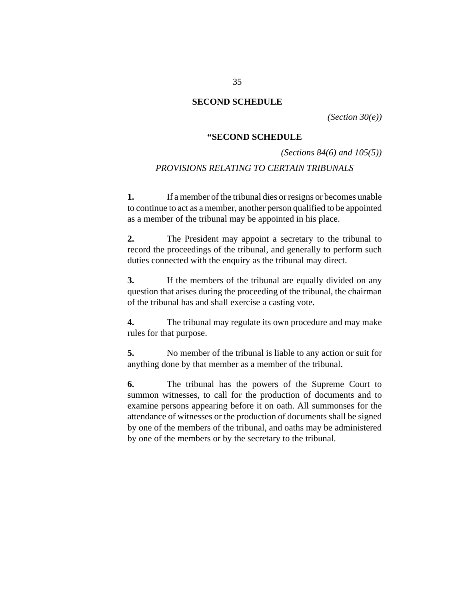#### <span id="page-34-0"></span>**SECOND SCHEDULE**

*(Section 30(e))*

#### **"SECOND SCHEDULE**

*(Sections 84(6) and 105(5))*

## *PROVISIONS RELATING TO CERTAIN TRIBUNALS*

If a member of the tribunal dies or resigns or becomes unable to continue to act as a member, another person qualified to be appointed as a member of the tribunal may be appointed in his place. **1.**

The President may appoint a secretary to the tribunal to record the proceedings of the tribunal, and generally to perform such duties connected with the enquiry as the tribunal may direct. **2.**

If the members of the tribunal are equally divided on any question that arises during the proceeding of the tribunal, the chairman of the tribunal has and shall exercise a casting vote. **3.**

The tribunal may regulate its own procedure and may make rules for that purpose. **4.**

No member of the tribunal is liable to any action or suit for anything done by that member as a member of the tribunal. **5.**

The tribunal has the powers of the Supreme Court to summon witnesses, to call for the production of documents and to examine persons appearing before it on oath. All summonses for the attendance of witnesses or the production of documents shall be signed by one of the members of the tribunal, and oaths may be administered by one of the members or by the secretary to the tribunal. **6.**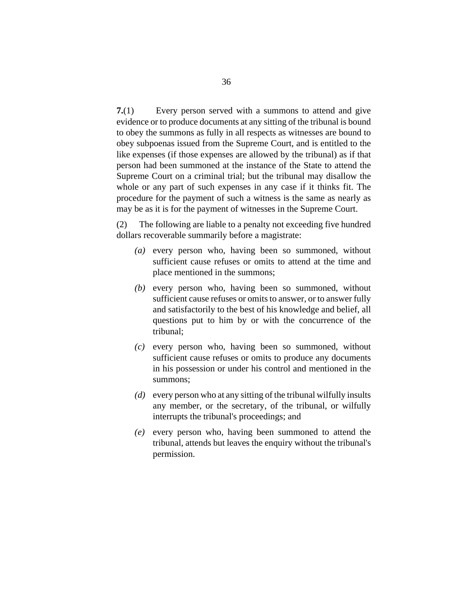Every person served with a summons to attend and give evidence or to produce documents at any sitting of the tribunal is bound to obey the summons as fully in all respects as witnesses are bound to obey subpoenas issued from the Supreme Court, and is entitled to the like expenses (if those expenses are allowed by the tribunal) as if that person had been summoned at the instance of the State to attend the Supreme Court on a criminal trial; but the tribunal may disallow the whole or any part of such expenses in any case if it thinks fit. The procedure for the payment of such a witness is the same as nearly as may be as it is for the payment of witnesses in the Supreme Court. **7.**(1)

The following are liable to a penalty not exceeding five hundred dollars recoverable summarily before a magistrate: (2)

- every person who, having been so summoned, without *(a)* sufficient cause refuses or omits to attend at the time and place mentioned in the summons;
- (b) every person who, having been so summoned, without sufficient cause refuses or omits to answer, or to answer fully and satisfactorily to the best of his knowledge and belief, all questions put to him by or with the concurrence of the tribunal;
- every person who, having been so summoned, without *(c)* sufficient cause refuses or omits to produce any documents in his possession or under his control and mentioned in the summons;
- every person who at any sitting of the tribunal wilfully insults *(d)* any member, or the secretary, of the tribunal, or wilfully interrupts the tribunal's proceedings; and
- (e) every person who, having been summoned to attend the tribunal, attends but leaves the enquiry without the tribunal's permission.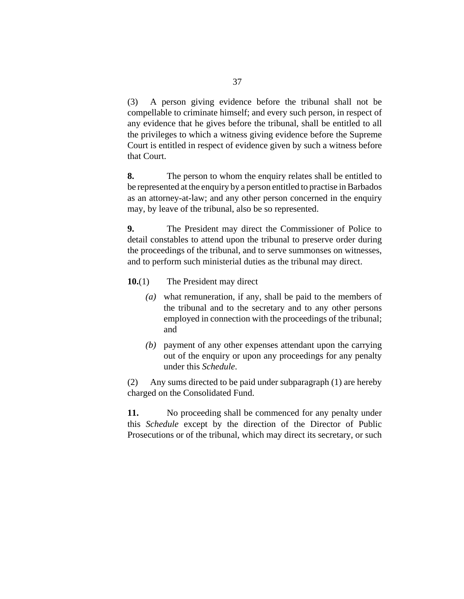A person giving evidence before the tribunal shall not be compellable to criminate himself; and every such person, in respect of any evidence that he gives before the tribunal, shall be entitled to all the privileges to which a witness giving evidence before the Supreme Court is entitled in respect of evidence given by such a witness before that Court. (3)

The person to whom the enquiry relates shall be entitled to be represented at the enquiry by a person entitled to practise in Barbados as an attorney-at-law; and any other person concerned in the enquiry may, by leave of the tribunal, also be so represented. **8.**

The President may direct the Commissioner of Police to detail constables to attend upon the tribunal to preserve order during the proceedings of the tribunal, and to serve summonses on witnesses, and to perform such ministerial duties as the tribunal may direct. **9.**

- The President may direct **10.**(1)
	- what remuneration, if any, shall be paid to the members of *(a)* the tribunal and to the secretary and to any other persons employed in connection with the proceedings of the tribunal; and
	- (b) payment of any other expenses attendant upon the carrying out of the enquiry or upon any proceedings for any penalty under this *Schedule*.

Any sums directed to be paid under subparagraph (1) are hereby charged on the Consolidated Fund. (2)

No proceeding shall be commenced for any penalty under this *Schedule* except by the direction of the Director of Public Prosecutions or of the tribunal, which may direct its secretary, or such **11.**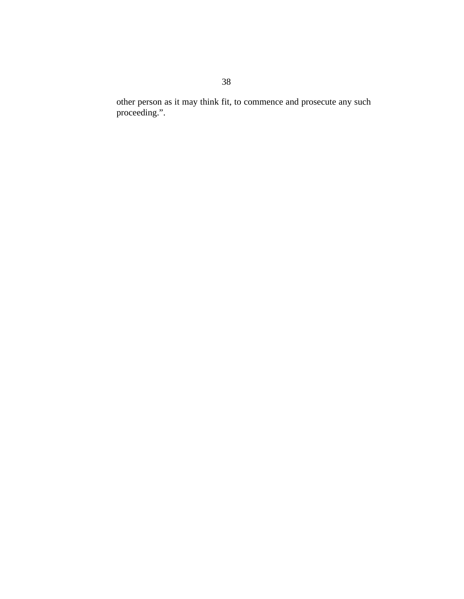other person as it may think fit, to commence and prosecute any such proceeding.".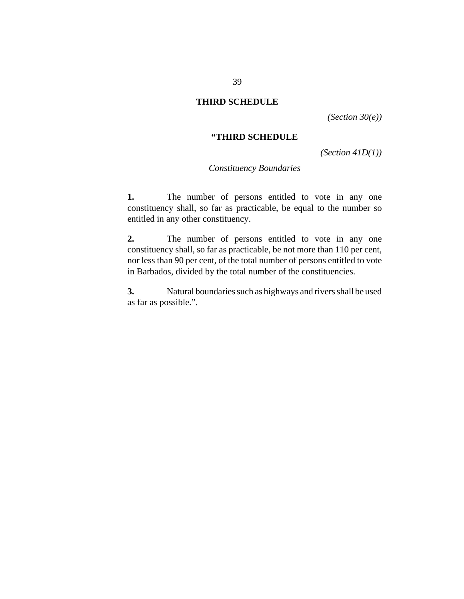## <span id="page-38-0"></span>**THIRD SCHEDULE**

*(Section 30(e))*

### **"THIRD SCHEDULE**

*(Section 41D(1))*

### *Constituency Boundaries*

The number of persons entitled to vote in any one constituency shall, so far as practicable, be equal to the number so entitled in any other constituency. **1.**

The number of persons entitled to vote in any one constituency shall, so far as practicable, be not more than 110 per cent, nor less than 90 per cent, of the total number of persons entitled to vote in Barbados, divided by the total number of the constituencies. **2.**

Natural boundaries such as highways and rivers shall be used as far as possible.". **3.**